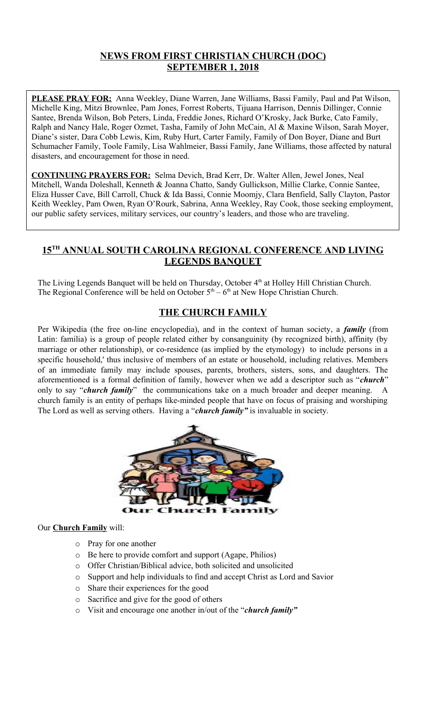# **NEWS FROM FIRST CHRISTIAN CHURCH (DOC) SEPTEMBER 1, 2018**

**PLEASE PRAY FOR:** Anna Weekley, Diane Warren, Jane Williams, Bassi Family, Paul and Pat Wilson, Michelle King, Mitzi Brownlee, Pam Jones, Forrest Roberts, Tijuana Harrison, Dennis Dillinger, Connie Santee, Brenda Wilson, Bob Peters, Linda, Freddie Jones, Richard O'Krosky, Jack Burke, Cato Family, Ralph and Nancy Hale, Roger Ozmet, Tasha, Family of John McCain, Al & Maxine Wilson, Sarah Moyer, Diane's sister, Dara Cobb Lewis, Kim, Ruby Hurt, Carter Family, Family of Don Boyer, Diane and Burt Schumacher Family, Toole Family, Lisa Wahlmeier, Bassi Family, Jane Williams, those affected by natural disasters, and encouragement for those in need.

**CONTINUING PRAYERS FOR:** Selma Devich, Brad Kerr, Dr. Walter Allen, Jewel Jones, Neal Mitchell, Wanda Doleshall, Kenneth & Joanna Chatto, Sandy Gullickson, Millie Clarke, Connie Santee, Eliza Husser Cave, Bill Carroll, Chuck & Ida Bassi, Connie Moomjy, Clara Benfield, Sally Clayton, Pastor Keith Weekley, Pam Owen, Ryan O'Rourk, Sabrina, Anna Weekley, Ray Cook, those seeking employment, our public safety services, military services, our country's leaders, and those who are traveling.

# **15TH ANNUAL SOUTH CAROLINA REGIONAL CONFERENCE AND LIVING LEGENDS BANQUET**

The Living Legends Banquet will be held on Thursday, October 4<sup>th</sup> at Holley Hill Christian Church. The Regional Conference will be held on October  $5<sup>th</sup> - 6<sup>th</sup>$  at New Hope Christian Church.

# **THE CHURCH FAMILY**

Per Wikipedia (the free on-line encyclopedia), and in the context of human society, a *family* (from Latin: familia) is a group of people related either by consanguinity (by recognized birth), affinity (by marriage or other relationship), or co-residence (as implied by the etymology) to include persons in a specific household,' thus inclusive of members of an estate or household, including relatives. Members of an immediate family may include spouses, parents, brothers, sisters, sons, and daughters. The aforementioned is a formal definition of family, however when we add a descriptor such as "*church*" only to say "*church family*" the communications take on a much broader and deeper meaning. church family is an entity of perhaps like-minded people that have on focus of praising and worshiping The Lord as well as serving others. Having a "*church family"* is invaluable in society.



#### Our **Church Family** will:

- o Pray for one another
- o Be here to provide comfort and support (Agape, Philios)
- o Offer Christian/Biblical advice, both solicited and unsolicited
- o Support and help individuals to find and accept Christ as Lord and Savior
- o Share their experiences for the good
- o Sacrifice and give for the good of others
- o Visit and encourage one another in/out of the "*church family"*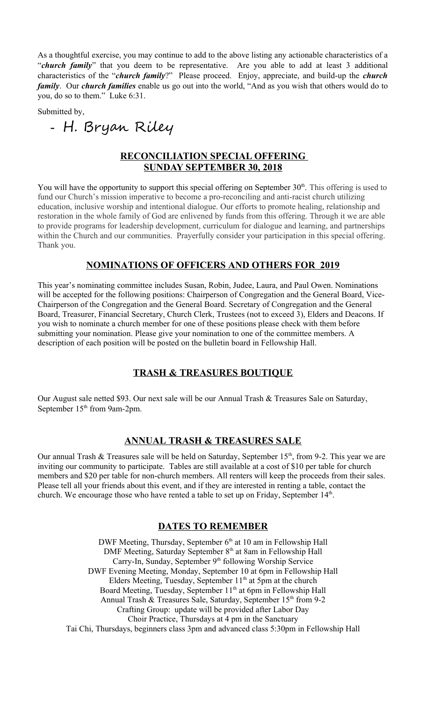As a thoughtful exercise, you may continue to add to the above listing any actionable characteristics of a "*church family*" that you deem to be representative. Are you able to add at least 3 additional characteristics of the "*church family*?" Please proceed. Enjoy, appreciate, and build-up the *church family*. Our *church families* enable us go out into the world, "And as you wish that others would do to you, do so to them." Luke 6:31.

Submitted by,

- H. Bryan Riley

# **RECONCILIATION SPECIAL OFFERING SUNDAY SEPTEMBER 30, 2018**

You will have the opportunity to support this special offering on September  $30<sup>th</sup>$ . This offering is used to fund our Church's mission imperative to become a pro-reconciling and anti-racist church utilizing education, inclusive worship and intentional dialogue. Our efforts to promote healing, relationship and restoration in the whole family of God are enlivened by funds from this offering. Through it we are able to provide programs for leadership development, curriculum for dialogue and learning, and partnerships within the Church and our communities. Prayerfully consider your participation in this special offering. Thank you.

## **NOMINATIONS OF OFFICERS AND OTHERS FOR 2019**

This year's nominating committee includes Susan, Robin, Judee, Laura, and Paul Owen. Nominations will be accepted for the following positions: Chairperson of Congregation and the General Board, Vice-Chairperson of the Congregation and the General Board. Secretary of Congregation and the General Board, Treasurer, Financial Secretary, Church Clerk, Trustees (not to exceed 3), Elders and Deacons. If you wish to nominate a church member for one of these positions please check with them before submitting your nomination. Please give your nomination to one of the committee members. A description of each position will be posted on the bulletin board in Fellowship Hall.

## **TRASH & TREASURES BOUTIQUE**

Our August sale netted \$93. Our next sale will be our Annual Trash & Treasures Sale on Saturday, September 15<sup>th</sup> from 9am-2pm.

## **ANNUAL TRASH & TREASURES SALE**

Our annual Trash & Treasures sale will be held on Saturday, September  $15<sup>th</sup>$ , from 9-2. This year we are inviting our community to participate. Tables are still available at a cost of \$10 per table for church members and \$20 per table for non-church members. All renters will keep the proceeds from their sales. Please tell all your friends about this event, and if they are interested in renting a table, contact the church. We encourage those who have rented a table to set up on Friday, September  $14<sup>th</sup>$ .

#### **DATES TO REMEMBER**

DWF Meeting, Thursday, September  $6<sup>th</sup>$  at 10 am in Fellowship Hall DMF Meeting, Saturday September 8<sup>th</sup> at 8am in Fellowship Hall Carry-In, Sunday, September 9<sup>th</sup> following Worship Service DWF Evening Meeting, Monday, September 10 at 6pm in Fellowship Hall Elders Meeting, Tuesday, September  $11<sup>th</sup>$  at 5pm at the church Board Meeting, Tuesday, September 11<sup>th</sup> at 6pm in Fellowship Hall Annual Trash & Treasures Sale, Saturday, September 15th from 9-2 Crafting Group: update will be provided after Labor Day Choir Practice, Thursdays at 4 pm in the Sanctuary Tai Chi, Thursdays, beginners class 3pm and advanced class 5:30pm in Fellowship Hall